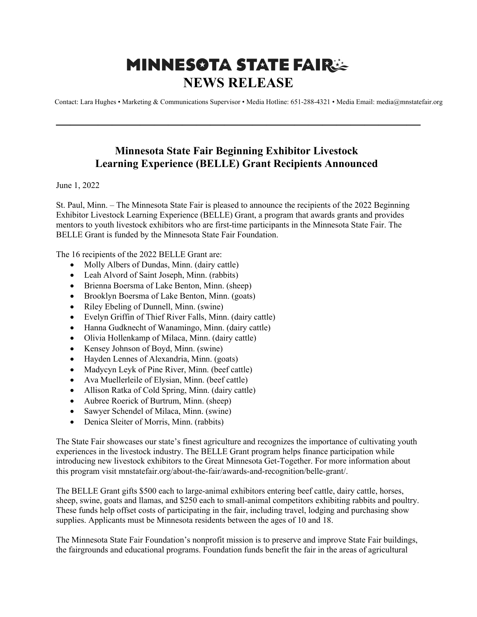## **MINNESOTA STATE FAIRSE NEWS RELEASE**

Contact: Lara Hughes • Marketing & Communications Supervisor • Media Hotline: 651-288-4321 • Media Email: media@mnstatefair.org

## **Minnesota State Fair Beginning Exhibitor Livestock Learning Experience (BELLE) Grant Recipients Announced**

**——————————————————————————**

## June 1, 2022

St. Paul, Minn. – The Minnesota State Fair is pleased to announce the recipients of the 2022 Beginning Exhibitor Livestock Learning Experience (BELLE) Grant, a program that awards grants and provides mentors to youth livestock exhibitors who are first-time participants in the Minnesota State Fair. The BELLE Grant is funded by the Minnesota State Fair Foundation.

The 16 recipients of the 2022 BELLE Grant are:

- Molly Albers of Dundas, Minn. (dairy cattle)
- Leah Alvord of Saint Joseph, Minn. (rabbits)
- Brienna Boersma of Lake Benton, Minn. (sheep)
- Brooklyn Boersma of Lake Benton, Minn. (goats)
- Riley Ebeling of Dunnell, Minn. (swine)
- Evelyn Griffin of Thief River Falls, Minn. (dairy cattle)
- Hanna Gudknecht of Wanamingo, Minn. (dairy cattle)
- Olivia Hollenkamp of Milaca, Minn. (dairy cattle)
- Kensey Johnson of Boyd, Minn. (swine)
- Hayden Lennes of Alexandria, Minn. (goats)
- Madycyn Leyk of Pine River, Minn. (beef cattle)
- Ava Muellerleile of Elysian, Minn. (beef cattle)
- Allison Ratka of Cold Spring, Minn. (dairy cattle)
- Aubree Roerick of Burtrum, Minn. (sheep)
- Sawyer Schendel of Milaca, Minn. (swine)
- Denica Sleiter of Morris, Minn. (rabbits)

The State Fair showcases our state's finest agriculture and recognizes the importance of cultivating youth experiences in the livestock industry. The BELLE Grant program helps finance participation while introducing new livestock exhibitors to the Great Minnesota Get-Together. For more information about this program visit mnstatefair.org/about-the-fair/awards-and-recognition/belle-grant/.

The BELLE Grant gifts \$500 each to large-animal exhibitors entering beef cattle, dairy cattle, horses, sheep, swine, goats and llamas, and \$250 each to small-animal competitors exhibiting rabbits and poultry. These funds help offset costs of participating in the fair, including travel, lodging and purchasing show supplies. Applicants must be Minnesota residents between the ages of 10 and 18.

The Minnesota State Fair Foundation's nonprofit mission is to preserve and improve State Fair buildings, the fairgrounds and educational programs. Foundation funds benefit the fair in the areas of agricultural